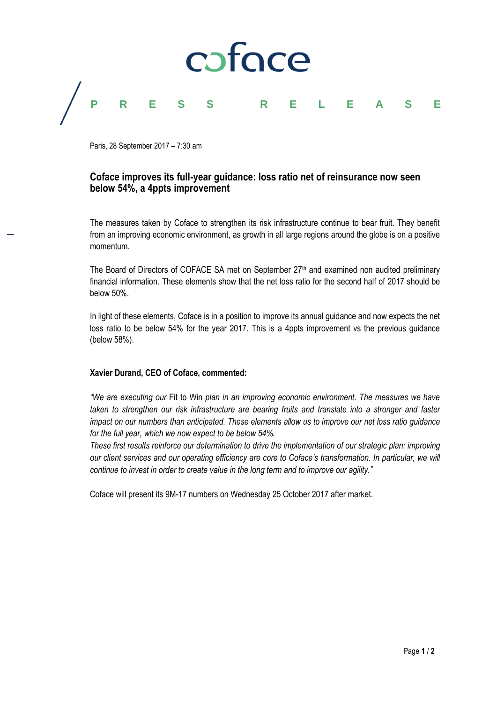

Paris, 28 September 2017 – 7:30 am

# **Coface improves its full-year guidance: loss ratio net of reinsurance now seen below 54%, a 4ppts improvement**

The measures taken by Coface to strengthen its risk infrastructure continue to bear fruit. They benefit from an improving economic environment, as growth in all large regions around the globe is on a positive momentum.

The Board of Directors of COFACE SA met on September  $27<sup>th</sup>$  and examined non audited preliminary financial information. These elements show that the net loss ratio for the second half of 2017 should be below 50%.

In light of these elements, Coface is in a position to improve its annual guidance and now expects the net loss ratio to be below 54% for the year 2017. This is a 4ppts improvement vs the previous guidance (below 58%).

## **Xavier Durand, CEO of Coface, commented:**

*"We are executing our* Fit to Win *plan in an improving economic environment. The measures we have taken to strengthen our risk infrastructure are bearing fruits and translate into a stronger and faster impact on our numbers than anticipated. These elements allow us to improve our net loss ratio guidance for the full year, which we now expect to be below 54%.*

*These first results reinforce our determination to drive the implementation of our strategic plan: improving our client services and our operating efficiency are core to Coface's transformation. In particular, we will continue to invest in order to create value in the long term and to improve our agility."*

Coface will present its 9M-17 numbers on Wednesday 25 October 2017 after market.